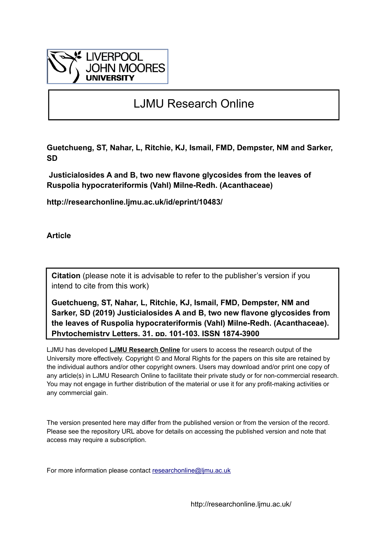

## LJMU Research Online

**Guetchueng, ST, Nahar, L, Ritchie, KJ, Ismail, FMD, Dempster, NM and Sarker, SD**

 **Justicialosides A and B, two new flavone glycosides from the leaves of Ruspolia hypocrateriformis (Vahl) Milne-Redh. (Acanthaceae)**

**http://researchonline.ljmu.ac.uk/id/eprint/10483/**

**Article**

**Citation** (please note it is advisable to refer to the publisher's version if you intend to cite from this work)

**Guetchueng, ST, Nahar, L, Ritchie, KJ, Ismail, FMD, Dempster, NM and Sarker, SD (2019) Justicialosides A and B, two new flavone glycosides from the leaves of Ruspolia hypocrateriformis (Vahl) Milne-Redh. (Acanthaceae). Phytochemistry Letters, 31. pp. 101-103. ISSN 1874-3900** 

LJMU has developed **[LJMU Research Online](http://researchonline.ljmu.ac.uk/)** for users to access the research output of the University more effectively. Copyright © and Moral Rights for the papers on this site are retained by the individual authors and/or other copyright owners. Users may download and/or print one copy of any article(s) in LJMU Research Online to facilitate their private study or for non-commercial research. You may not engage in further distribution of the material or use it for any profit-making activities or any commercial gain.

The version presented here may differ from the published version or from the version of the record. Please see the repository URL above for details on accessing the published version and note that access may require a subscription.

For more information please contact researchonline@limu.ac.uk

http://researchonline.ljmu.ac.uk/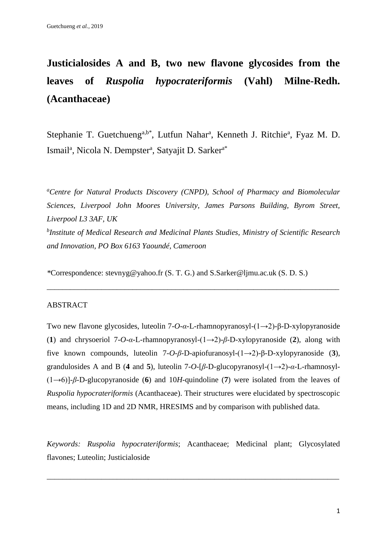# **Justicialosides A and B, two new flavone glycosides from the leaves of** *Ruspolia hypocrateriformis* **(Vahl) Milne-Redh. (Acanthaceae)**

Stephanie T. Guetchueng<sup>a,b\*</sup>, Lutfun Nahar<sup>a</sup>, Kenneth J. Ritchie<sup>a</sup>, Fyaz M. D. Ismail<sup>a</sup>, Nicola N. Dempster<sup>a</sup>, Satyajit D. Sarker<sup>a\*</sup>

*<sup>a</sup>Centre for Natural Products Discovery (CNPD), School of Pharmacy and Biomolecular Sciences, Liverpool John Moores University, James Parsons Building, Byrom Street, Liverpool L3 3AF, UK b Institute of Medical Research and Medicinal Plants Studies, Ministry of Scientific Research and Innovation, PO Box 6163 Yaoundé, Cameroon*

\_\_\_\_\_\_\_\_\_\_\_\_\_\_\_\_\_\_\_\_\_\_\_\_\_\_\_\_\_\_\_\_\_\_\_\_\_\_\_\_\_\_\_\_\_\_\_\_\_\_\_\_\_\_\_\_\_\_\_\_\_\_\_\_\_\_\_\_\_\_\_\_\_\_\_

*\**Correspondence: stevnyg@yahoo.fr (S. T. G.) and S.Sarker@ljmu.ac.uk (S. D. S.)

#### ABSTRACT

Two new flavone glycosides, luteolin 7-*O*-*α*-L-rhamnopyranosyl-(1→2)-β-D-xylopyranoside (**1**) and chrysoeriol 7-*O*-*α*-L-rhamnopyranosyl-(1→2)-*β*-D-xylopyranoside (**2**), along with five known compounds, luteolin 7-*O*-*β*-D-apiofuranosyl-(1→2)-β-D-xylopyranoside (**3**), grandulosides A and B (**4** and **5**), luteolin 7-*O*-[*β*-D-glucopyranosyl-(1→2)-*α*-L-rhamnosyl- (1→6)]-*β*-D-glucopyranoside (**6**) and 10*H*-quindoline (**7**) were isolated from the leaves of *Ruspolia hypocrateriformis* (Acanthaceae). Their structures were elucidated by spectroscopic means, including 1D and 2D NMR, HRESIMS and by comparison with published data.

*Keywords: Ruspolia hypocrateriformis*; Acanthaceae; Medicinal plant; Glycosylated flavones; Luteolin; Justicialoside

\_\_\_\_\_\_\_\_\_\_\_\_\_\_\_\_\_\_\_\_\_\_\_\_\_\_\_\_\_\_\_\_\_\_\_\_\_\_\_\_\_\_\_\_\_\_\_\_\_\_\_\_\_\_\_\_\_\_\_\_\_\_\_\_\_\_\_\_\_\_\_\_\_\_\_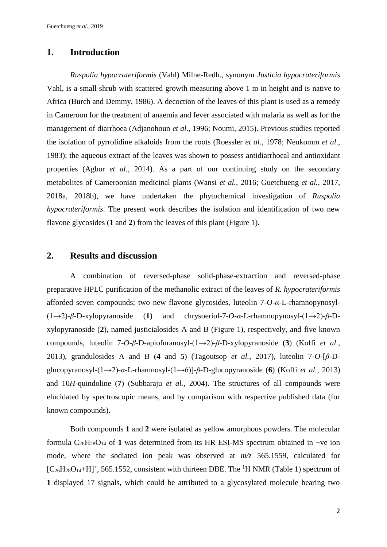## **1. Introduction**

*Ruspolia hypocrateriformis* (Vahl) Milne-Redh., synonym *Justicia hypocrateriformis*  Vahl, is a small shrub with scattered growth measuring above 1 m in height and is native to Africa (Burch and Demmy, 1986). A decoction of the leaves of this plant is used as a remedy in Cameroon for the treatment of anaemia and fever associated with malaria as well as for the management of diarrhoea (Adjanohoun *et al*., 1996; Noumi, 2015). Previous studies reported the isolation of pyrrolidine alkaloids from the roots (Roessler *et al*., 1978; Neukomm *et al*., 1983); the aqueous extract of the leaves was shown to possess antidiarrhoeal and antioxidant properties (Agbor *et al.*, 2014). As a part of our continuing study on the secondary metabolites of Cameroonian medicinal plants (Wansi *et al.*, 2016; Guetchueng *et al.*, 2017, 2018a, 2018b), we have undertaken the phytochemical investigation of *Ruspolia hypocrateriformis*. The present work describes the isolation and identification of two new flavone glycosides (**1** and **2**) from the leaves of this plant (Figure 1).

## **2. Results and discussion**

A combination of reversed-phase solid-phase-extraction and reversed-phase preparative HPLC purification of the methanolic extract of the leaves of *R. hypocrateriformis*  afforded seven compounds; two new flavone glycosides, luteolin 7-*O*-*α*-L-rhamnopynosyl- (1→2)-*β*-D-xylopyranoside (**1**) and chrysoeriol-7-*O*-*α*-L-rhamnopynosyl-(1→2)-*β*-Dxylopyranoside (**2**), named justicialosides A and B (Figure 1), respectively, and five known compounds, luteolin 7-*O*-*β*-D-apiofuranosyl-(1→2)-*β*-D-xylopyranoside (**3**) (Koffi *et al*., 2013), grandulosides A and B (4 and 5) (Tagoutsop *et al.*, 2017), luteolin 7-O- $\beta$ -Dglucopyranosyl-(1→2)-*α*-L-rhamnosyl-(1→6)]-*β*-D-glucopyranoside (**6**) (Koffi *et al.*, 2013) and 10*H*-quindoline (**7**) (Subbaraju *et al.*, 2004). The structures of all compounds were elucidated by spectroscopic means, and by comparison with respective published data (for known compounds).

Both compounds **1** and **2** were isolated as yellow amorphous powders. The molecular formula  $C_{26}H_{28}O_{14}$  of 1 was determined from its HR ESI-MS spectrum obtained in +ve ion mode, where the sodiated ion peak was observed at *m/z* 565.1559, calculated for  $[C_{26}H_{28}O_{14}+H]^+$ , 565.1552, consistent with thirteen DBE. The <sup>1</sup>H NMR (Table 1) spectrum of **1** displayed 17 signals, which could be attributed to a glycosylated molecule bearing two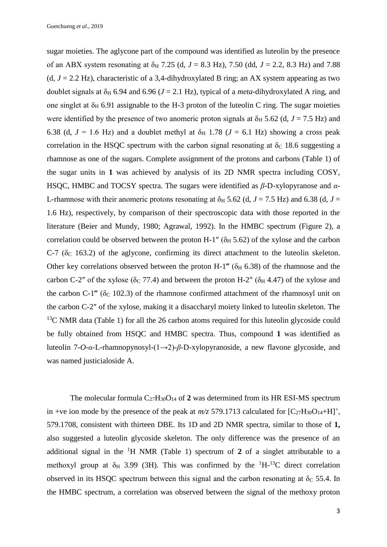sugar moieties. The aglycone part of the compound was identified as luteolin by the presence of an ABX system resonating at  $\delta_H$  7.25 (d,  $J = 8.3$  Hz), 7.50 (dd,  $J = 2.2$ , 8.3 Hz) and 7.88 (d,  $J = 2.2$  Hz), characteristic of a 3,4-dihydroxylated B ring; an AX system appearing as two doublet signals at  $\delta$ <sub>H</sub> 6.94 and 6.96 ( $J = 2.1$  Hz), typical of a *meta*-dihydroxylated A ring, and one singlet at  $\delta_H$  6.91 assignable to the H-3 proton of the luteolin C ring. The sugar moieties were identified by the presence of two anomeric proton signals at  $\delta_H$  5.62 (d, *J* = 7.5 Hz) and 6.38 (d,  $J = 1.6$  Hz) and a doublet methyl at  $\delta_H$  1.78 ( $J = 6.1$  Hz) showing a cross peak correlation in the HSQC spectrum with the carbon signal resonating at  $\delta_c$  18.6 suggesting a rhamnose as one of the sugars. Complete assignment of the protons and carbons (Table 1) of the sugar units in **1** was achieved by analysis of its 2D NMR spectra including COSY, HSQC, HMBC and TOCSY spectra. The sugars were identified as *β*-D-xylopyranose and *α*-L-rhamnose with their anomeric protons resonating at  $\delta_H$  5.62 (d,  $J = 7.5$  Hz) and 6.38 (d,  $J =$ 1.6 Hz), respectively, by comparison of their spectroscopic data with those reported in the literature (Beier and Mundy, 1980; Agrawal, 1992). In the HMBC spectrum (Figure 2), a correlation could be observed between the proton H-1" ( $\delta$ <sub>H</sub> 5.62) of the xylose and the carbon C-7 ( $\delta$ c 163.2) of the aglycone, confirming its direct attachment to the luteolin skeleton. Other key correlations observed between the proton H-1<sup>"'</sup> ( $\delta_H$  6.38) of the rhamnose and the carbon C-2" of the xylose ( $\delta$ <sub>C</sub> 77.4) and between the proton H-2" ( $\delta$ <sub>H</sub> 4.47) of the xylose and the carbon C-1<sup>"</sup> ( $\delta$ <sub>C</sub> 102.3) of the rhamnose confirmed attachment of the rhamnosyl unit on the carbon C-2″ of the xylose, making it a disaccharyl moiety linked to luteolin skeleton. The <sup>13</sup>C NMR data (Table 1) for all the 26 carbon atoms required for this luteolin glycoside could be fully obtained from HSQC and HMBC spectra. Thus, compound **1** was identified as luteolin 7-*O*-*α*-L-rhamnopynosyl-(1→2)-*β*-D-xylopyranoside, a new flavone glycoside, and was named justicialoside A.

The molecular formula  $C_{27}H_{30}O_{14}$  of 2 was determined from its HR ESI-MS spectrum in +ve ion mode by the presence of the peak at  $m/z$  579.1713 calculated for  $[C_{27}H_{30}O_{14}+H]^+$ , 579.1708, consistent with thirteen DBE. Its 1D and 2D NMR spectra, similar to those of **1,** also suggested a luteolin glycoside skeleton. The only difference was the presence of an additional signal in the  ${}^{1}H$  NMR (Table 1) spectrum of 2 of a singlet attributable to a methoxyl group at  $\delta$ <sub>H</sub> 3.99 (3H). This was confirmed by the <sup>1</sup>H-<sup>13</sup>C direct correlation observed in its HSQC spectrum between this signal and the carbon resonating at  $\delta_c$  55.4. In the HMBC spectrum, a correlation was observed between the signal of the methoxy proton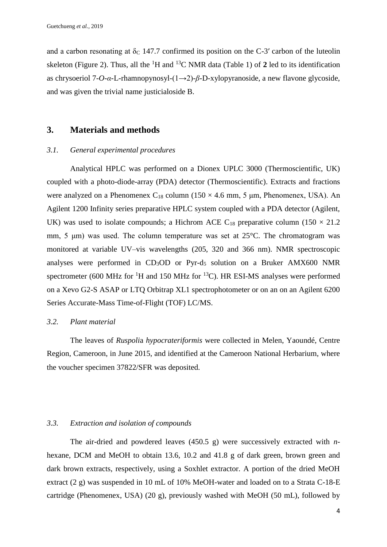and a carbon resonating at  $\delta_c$  147.7 confirmed its position on the C-3' carbon of the luteolin skeleton (Figure 2). Thus, all the  ${}^{1}H$  and  ${}^{13}C$  NMR data (Table 1) of 2 led to its identification as chrysoeriol 7-*O*-*α*-L-rhamnopynosyl-(1→2)-*β*-D-xylopyranoside, a new flavone glycoside, and was given the trivial name justicialoside B.

### **3. Materials and methods**

#### *3.1. General experimental procedures*

Analytical HPLC was performed on a Dionex UPLC 3000 (Thermoscientific, UK) coupled with a photo-diode-array (PDA) detector (Thermoscientific). Extracts and fractions were analyzed on a Phenomenex  $C_{18}$  column (150  $\times$  4.6 mm, 5 µm, Phenomenex, USA). An Agilent 1200 Infinity series preparative HPLC system coupled with a PDA detector (Agilent, UK) was used to isolate compounds; a Hichrom ACE  $C_{18}$  preparative column (150  $\times$  21.2) mm, 5 μm) was used. The column temperature was set at 25°C. The chromatogram was monitored at variable UV–vis wavelengths (205, 320 and 366 nm). NMR spectroscopic analyses were performed in CD3OD or Pyr-d<sup>5</sup> solution on a Bruker AMX600 NMR spectrometer (600 MHz for <sup>1</sup>H and 150 MHz for <sup>13</sup>C). HR ESI-MS analyses were performed on a Xevo G2-S ASAP or LTQ Orbitrap XL1 spectrophotometer or on an on an Agilent 6200 Series Accurate-Mass Time-of-Flight (TOF) LC/MS.

#### *3.2. Plant material*

The leaves of *Ruspoli*a *hypocrateriformis* were collected in Melen, Yaoundé, Centre Region, Cameroon, in June 2015, and identified at the Cameroon National Herbarium, where the voucher specimen 37822/SFR was deposited.

#### *3.3. Extraction and isolation of compounds*

The air-dried and powdered leaves (450.5 g) were successively extracted with *n*hexane, DCM and MeOH to obtain 13.6, 10.2 and 41.8 g of dark green, brown green and dark brown extracts, respectively, using a Soxhlet extractor. A portion of the dried MeOH extract (2 g) was suspended in 10 mL of 10% MeOH-water and loaded on to a Strata C-18-E cartridge (Phenomenex, USA) (20 g), previously washed with MeOH (50 mL), followed by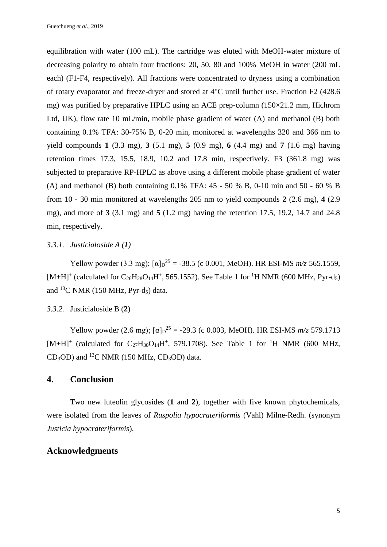equilibration with water (100 mL). The cartridge was eluted with MeOH-water mixture of decreasing polarity to obtain four fractions: 20, 50, 80 and 100% MeOH in water (200 mL each) (F1-F4, respectively). All fractions were concentrated to dryness using a combination of rotary evaporator and freeze-dryer and stored at 4°C until further use. Fraction F2 (428.6 mg) was purified by preparative HPLC using an ACE prep-column (150×21.2 mm, Hichrom Ltd, UK), flow rate 10 mL/min, mobile phase gradient of water (A) and methanol (B) both containing 0.1% TFA: 30-75% B, 0-20 min, monitored at wavelengths 320 and 366 nm to yield compounds **1** (3.3 mg), **3** (5.1 mg), **5** (0.9 mg), **6** (4.4 mg) and **7** (1.6 mg) having retention times 17.3, 15.5, 18.9, 10.2 and 17.8 min, respectively. F3 (361.8 mg) was subjected to preparative RP-HPLC as above using a different mobile phase gradient of water (A) and methanol (B) both containing 0.1% TFA: 45 - 50 % B, 0-10 min and 50 - 60 % B from 10 - 30 min monitored at wavelengths 205 nm to yield compounds **2** (2.6 mg), **4** (2.9 mg), and more of **3** (3.1 mg) and **5** (1.2 mg) having the retention 17.5, 19.2, 14.7 and 24.8 min, respectively.

## *3.3.1. Justicialoside A (1)*

Yellow powder (3.3 mg);  $[\alpha]_D^{25} = -38.5$  (c 0.001, MeOH). HR ESI-MS  $m/z$  565.1559,  $[M+H]$ <sup>+</sup> (calculated for C<sub>26</sub>H<sub>28</sub>O<sub>14</sub>H<sup>+</sup>, 565.1552). See Table 1 for <sup>1</sup>H NMR (600 MHz, Pyr-d<sub>5</sub>) and  $^{13}$ C NMR (150 MHz, Pyr-d<sub>5</sub>) data.

## *3.3.2.* Justicialoside B (**2**)

Yellow powder (2.6 mg);  $[\alpha]_D^{25} = -29.3$  (c 0.003, MeOH). HR ESI-MS  $m/z$  579.1713  $[M+H]^+$  (calculated for C<sub>27</sub>H<sub>30</sub>O<sub>14</sub>H<sup>+</sup>, 579.1708). See Table 1 for <sup>1</sup>H NMR (600 MHz,  $CD<sub>3</sub>OD$ ) and <sup>13</sup>C NMR (150 MHz,  $CD<sub>3</sub>OD$ ) data.

## **4. Conclusion**

Two new luteolin glycosides (**1** and **2**), together with five known phytochemicals, were isolated from the leaves of *Ruspolia hypocrateriformis* (Vahl) Milne-Redh. (synonym *Justicia hypocrateriformis*).

## **Acknowledgments**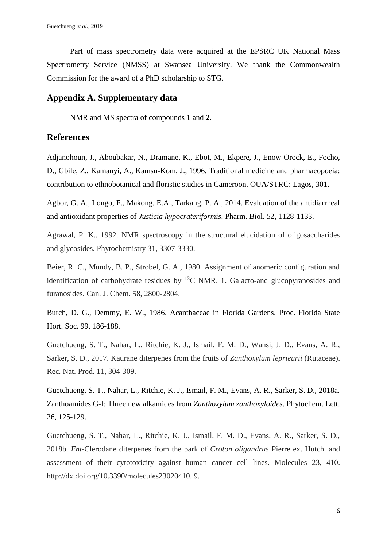Part of mass spectrometry data were acquired at the EPSRC UK National Mass Spectrometry Service (NMSS) at Swansea University. We thank the Commonwealth Commission for the award of a PhD scholarship to STG.

## **Appendix A. Supplementary data**

NMR and MS spectra of compounds **1** and **2**.

## **References**

Adjanohoun, J., Aboubakar, N., Dramane, K., Ebot, M., Ekpere, J., Enow-Orock, E., Focho, D., Gbile, Z., Kamanyi, A., Kamsu-Kom, J., 1996. Traditional medicine and pharmacopoeia: contribution to ethnobotanical and floristic studies in Cameroon. OUA/STRC: Lagos, 301.

Agbor, G. A., Longo, F., Makong, E.A., Tarkang, P. A., 2014. Evaluation of the antidiarrheal and antioxidant properties of *Justicia hypocrateriformis*. Pharm. Biol. 52, 1128-1133.

Agrawal, P. K., 1992. NMR spectroscopy in the structural elucidation of oligosaccharides and glycosides. Phytochemistry 31, 3307-3330.

Beier, R. C., Mundy, B. P., Strobel, G. A., 1980. Assignment of anomeric configuration and identification of carbohydrate residues by  $^{13}$ C NMR. 1. Galacto-and glucopyranosides and furanosides. Can. J. Chem. 58, 2800-2804.

Burch, D. G., Demmy, E. W., 1986. Acanthaceae in Florida Gardens. Proc. Florida State Hort. Soc. 99, 186-188.

Guetchueng, S. T., Nahar, L., Ritchie, K. J., Ismail, F. M. D., Wansi, J. D., Evans, A. R., Sarker, S. D., 2017. Kaurane diterpenes from the fruits of *Zanthoxylum leprieurii* (Rutaceae). Rec. Nat. Prod. 11, 304-309.

Guetchueng, S. T., Nahar, L., Ritchie, K. J., Ismail, F. M., Evans, A. R., Sarker, S. D., 2018a. Zanthoamides G-I: Three new alkamides from *Zanthoxylum zanthoxyloides*. Phytochem. Lett. 26, 125-129.

Guetchueng, S. T., Nahar, L., Ritchie, K. J., Ismail, F. M. D., Evans, A. R., Sarker, S. D., 2018b. *Ent*-Clerodane diterpenes from the bark of *Croton oligandrus* Pierre ex. Hutch. and assessment of their cytotoxicity against human cancer cell lines. Molecules 23, 410. http://dx.doi.org/10.3390/molecules23020410. 9.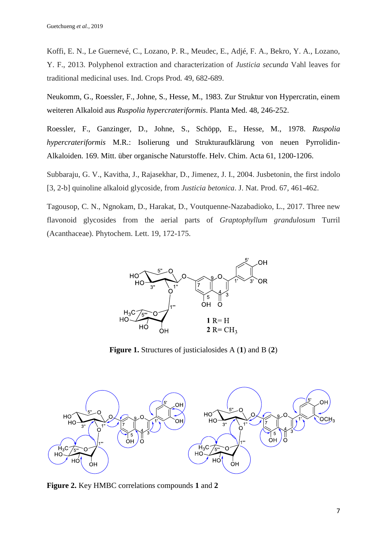Koffi, E. N., Le Guernevé, C., Lozano, P. R., Meudec, E., Adjé, F. A., Bekro, Y. A., Lozano, Y. F., 2013. Polyphenol extraction and characterization of *Justicia secunda* Vahl leaves for traditional medicinal uses. Ind. Crops Prod*.* 49, 682-689.

Neukomm, G., Roessler, F., Johne, S., Hesse, M., 1983. Zur Struktur von Hypercratin, einem weiteren Alkaloid aus *Ruspolia hypercrateriformis*. Planta Med. 48, 246-252.

Roessler, F., Ganzinger, D., Johne, S., Schöpp, E., Hesse, M., 1978. *Ruspolia hypercrateriformis* M.R.: Isolierung und Strukturaufklärung von neuen Pyrrolidin-Alkaloiden. 169. Mitt. über organische Naturstoffe. Helv. Chim. Acta 61, 1200-1206.

Subbaraju, G. V., Kavitha, J., Rajasekhar, D., Jimenez, J. I., 2004. Jusbetonin, the first indolo [3, 2-b] quinoline alkaloid glycoside, from *Justicia betonica*. J. Nat. Prod. 67, 461-462.

Tagousop, C. N., Ngnokam, D., Harakat, D., Voutquenne-Nazabadioko, L., 2017. Three new flavonoid glycosides from the aerial parts of *Graptophyllum grandulosum* Turril (Acanthaceae). Phytochem. Lett. 19, 172-175.



**Figure 1.** Structures of justicialosides A (**1**) and B (**2**)



**Figure 2.** Key HMBC correlations compounds **1** and **2**